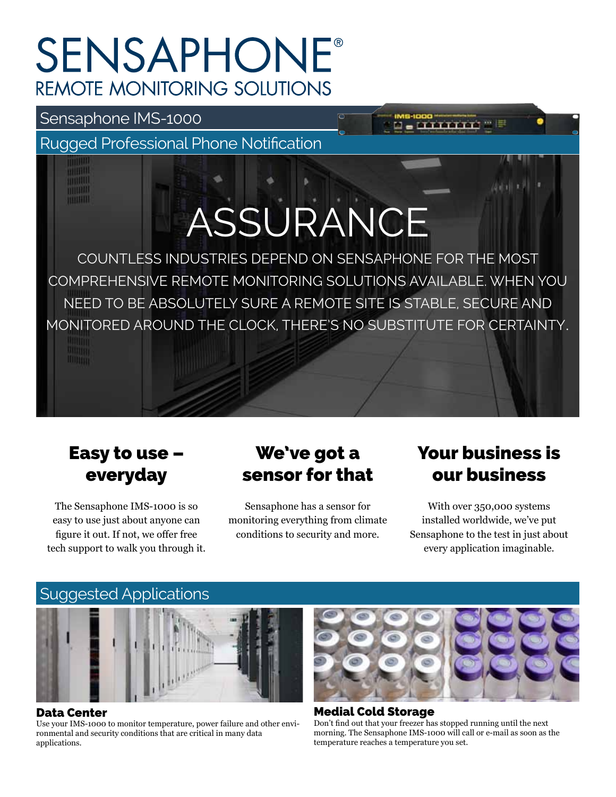## **SENSAPHONE® REMOTE MONITORING SOLUTIONS**

## Sensaphone IMS-1000

mulli THEFT THEFTH

Rugged Professional Phone Notification

# ASSURANCE

COUNTLESS INDUSTRIES DEPEND ON SENSAPHONE FOR THE MOST COMPREHENSIVE REMOTE MONITORING SOLUTIONS AVAILABLE. WHEN YOU NEED TO BE ABSOLUTELY SURE A REMOTE SITE IS STABLE, SECURE AND MONITORED AROUND THE CLOCK, THERE'S NO SUBSTITUTE FOR CERTAINTY.

## Easy to use – everyday

The Sensaphone IMS-1000 is so easy to use just about anyone can figure it out. If not, we offer free tech support to walk you through it.

## We've got a sensor for that

Sensaphone has a sensor for monitoring everything from climate conditions to security and more.

## Your business is our business

With over 350,000 systems installed worldwide, we've put Sensaphone to the test in just about every application imaginable.



#### Data Center

Use your IMS-1000 to monitor temperature, power failure and other environmental and security conditions that are critical in many data applications.



Medial Cold Storage Don't find out that your freezer has stopped running until the next morning. The Sensaphone IMS-1000 will call or e-mail as soon as the temperature reaches a temperature you set.